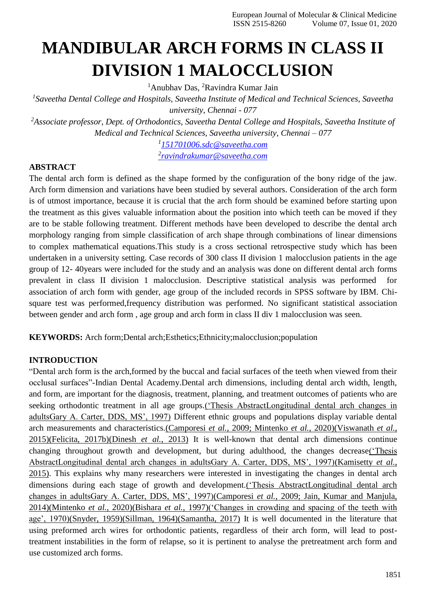# **MANDIBULAR ARCH FORMS IN CLASS II DIVISION 1 MALOCCLUSION**

<sup>1</sup>Anubhav Das, <sup>2</sup>Ravindra Kumar Jain

*1 Saveetha Dental College and Hospitals, Saveetha Institute of Medical and Technical Sciences, Saveetha university, Chennai - 077*

*<sup>2</sup>Associate professor, Dept. of Orthodontics, Saveetha Dental College and Hospitals, Saveetha Institute of Medical and Technical Sciences, Saveetha university, Chennai – 077*

*1 [151701006.sdc@saveetha.com](mailto:151701006.sdc@saveetha.com)*

*2 [ravindrakumar@saveetha.com](mailto:ravindrakumar@saveetha.com)*

# **ABSTRACT**

The dental arch form is defined as the shape formed by the configuration of the bony ridge of the jaw. Arch form dimension and variations have been studied by several authors. Consideration of the arch form is of utmost importance, because it is crucial that the arch form should be examined before starting upon the treatment as this gives valuable information about the position into which teeth can be moved if they are to be stable following treatment. Different methods have been developed to describe the dental arch morphology ranging from simple classification of arch shape through combinations of linear dimensions to complex mathematical equations.This study is a cross sectional retrospective study which has been undertaken in a university setting. Case records of 300 class II division 1 malocclusion patients in the age group of 12- 40years were included for the study and an analysis was done on different dental arch forms prevalent in class II division 1 malocclusion. Descriptive statistical analysis was performed for association of arch form with gender, age group of the included records in SPSS software by IBM. Chisquare test was performed,frequency distribution was performed. No significant statistical association between gender and arch form , age group and arch form in class II div 1 malocclusion was seen.

**KEYWORDS:** Arch form;Dental arch;Esthetics;Ethnicity;malocclusion;population

# **INTRODUCTION**

"Dental arch form is the arch,formed by the buccal and facial surfaces of the teeth when viewed from their occlusal surfaces"-Indian Dental Academy.Dental arch dimensions, including dental arch width, length, and form, are important for the diagnosis, treatment, planning, and treatment outcomes of patients who are seeking orthodontic treatment in all age groups[.\('Thesis AbstractLongitudinal dental arch changes in](https://paperpile.com/c/Gqof0E/GxbZ) [adultsGary A. Carter, DDS, MS', 1997\)](https://paperpile.com/c/Gqof0E/GxbZ) Different ethnic groups and populations display variable dental arch measurements and characteristics.(Camporesi *et al.*[, 2009; Mintenko](https://paperpile.com/c/Gqof0E/ajhT%2B5h5n) *et al.*, 2020[\)\(Viswanath](https://paperpile.com/c/Gqof0E/ajhT%2B5h5n) *et al.*, [2015\)\(Felicita, 2017b\)](https://paperpile.com/c/Gqof0E/yral)[\(Dinesh](https://paperpile.com/c/Gqof0E/szJF) *et al.*, 2013) It is well-known that dental arch dimensions continue changing throughout growth and development, but during adulthood, the changes decreas[e\('Thesis](https://paperpile.com/c/Gqof0E/GxbZ) [AbstractLongitudinal dental arch changes in adultsGary A. Carter, DDS, MS', 1997\)\(Kamisetty](https://paperpile.com/c/Gqof0E/GxbZ) *et al.*, [2015\).](https://paperpile.com/c/Gqof0E/VWqb) This explains why many researchers were interested in investigating the changes in dental arch dimensions during each stage of growth and development[.\('Thesis AbstractLongitudinal dental arch](https://paperpile.com/c/Gqof0E/GxbZ) [changes in adultsGary A. Carter, DDS, MS', 1997\)\(](https://paperpile.com/c/Gqof0E/GxbZ)Camporesi *et al.*[, 2009; Jain, Kumar and Manjula,](https://paperpile.com/c/Gqof0E/GxbZ) [2014\)\(Mintenko](https://paperpile.com/c/Gqof0E/ajhT%2Bcv3B) *et al.*, 2020[\)\(Bishara](https://paperpile.com/c/Gqof0E/5h5n) *et al.*, 1997[\)\('Changes in crowding and spacing of the teeth with](https://paperpile.com/c/Gqof0E/5h5n) [age', 1970\)\(Snyder, 1959\)](https://paperpile.com/c/Gqof0E/PhIe)[\(Sillman, 1964\)\(Samantha, 2017\)](https://paperpile.com/c/Gqof0E/1igC) It is well documented in the literature that using preformed arch wires for orthodontic patients, regardless of their arch form, will lead to posttreatment instabilities in the form of relapse, so it is pertinent to analyse the pretreatment arch form and use customized arch forms.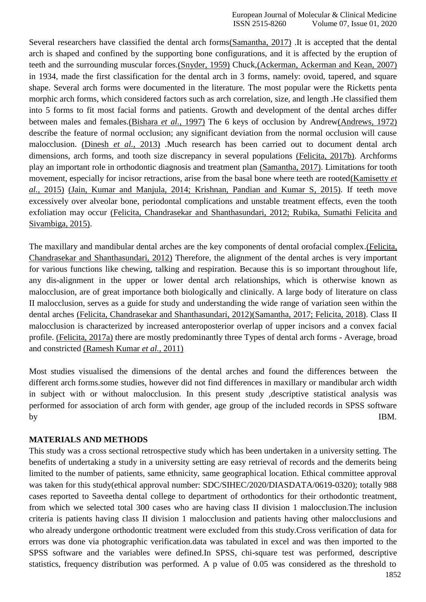Several researchers have classified the dental arch form[s\(Samantha, 2017\)](https://paperpile.com/c/Gqof0E/6f0T) .It is accepted that the dental arch is shaped and confined by the supporting bone configurations, and it is affected by the eruption of teeth and the surrounding muscular forces[.\(Snyder, 1959\)](https://paperpile.com/c/Gqof0E/1igC) Chuck[,\(Ackerman, Ackerman and Kean, 2007\)](https://paperpile.com/c/Gqof0E/PURb) in 1934, made the first classification for the dental arch in 3 forms, namely: ovoid, tapered, and square shape. Several arch forms were documented in the literature. The most popular were the Ricketts penta morphic arch forms, which considered factors such as arch correlation, size, and length .He classified them into 5 forms to fit most facial forms and patients. Growth and development of the dental arches differ between males and females[.\(Bishara](https://paperpile.com/c/Gqof0E/zNjc) *et al.*, 1997) The 6 keys of occlusion by Andre[w\(Andrews, 1972\)](https://paperpile.com/c/Gqof0E/MRjv) describe the feature of normal occlusion; any significant deviation from the normal occlusion will cause malocclusion. [\(Dinesh](https://paperpile.com/c/Gqof0E/szJF) *et al.*, 2013) .Much research has been carried out to document dental arch dimensions, arch forms, and tooth size discrepancy in several populations [\(Felicita, 2017b\).](https://paperpile.com/c/Gqof0E/mapB) Archforms play an important role in orthodontic diagnosis and treatment plan [\(Samantha, 2017\). L](https://paperpile.com/c/Gqof0E/6f0T)imitations for tooth movement, especially for incisor retractions, arise from the basal bone where teeth are roote[d\(Kamisetty](https://paperpile.com/c/Gqof0E/VWqb) *et al.*[, 2015\)](https://paperpile.com/c/Gqof0E/VWqb) [\(Jain, Kumar and Manjula, 2014; Krishnan, Pandian and Kumar S, 2015\).](https://paperpile.com/c/Gqof0E/cv3B%2B4duY) If teeth move excessively over alveolar bone, periodontal complications and unstable treatment effects, even the tooth exfoliation may occur [\(Felicita, Chandrasekar and Shanthasundari, 2012; Rubika, Sumathi Felicita and](https://paperpile.com/c/Gqof0E/lN5i%2BQqmJ) [Sivambiga, 2015\).](https://paperpile.com/c/Gqof0E/lN5i%2BQqmJ)

The maxillary and mandibular dental arches are the key components of dental orofacial comple[x.\(Felicita,](https://paperpile.com/c/Gqof0E/lN5i) [Chandrasekar and Shanthasundari, 2012\)](https://paperpile.com/c/Gqof0E/lN5i) Therefore, the alignment of the dental arches is very important for various functions like chewing, talking and respiration. Because this is so important throughout life, any dis-alignment in the upper or lower dental arch relationships, which is otherwise known as malocclusion, are of great importance both biologically and clinically. A large body of literature on class II malocclusion, serves as a guide for study and understanding the wide range of variation seen within the dental arches [\(Felicita, Chandrasekar and Shanthasundari, 2012\)\(Samantha, 2017; Felicita, 2018\).](https://paperpile.com/c/Gqof0E/lN5i) Class II malocclusion is characterized by increased anteroposterior overlap of upper incisors and a convex facial profile. [\(Felicita, 2017a\)](https://paperpile.com/c/Gqof0E/KdOF) there are mostly predominantly three Types of dental arch forms - Average, broad and constricted [\(Ramesh Kumar](https://paperpile.com/c/Gqof0E/g4DW) *et al.*, 2011)

Most studies visualised the dimensions of the dental arches and found the differences between the different arch forms.some studies, however did not find differences in maxillary or mandibular arch width in subject with or without malocclusion. In this present study ,descriptive statistical analysis was performed for association of arch form with gender, age group of the included records in SPSS software by IBM.

#### **MATERIALS AND METHODS**

This study was a cross sectional retrospective study which has been undertaken in a university setting. The benefits of undertaking a study in a university setting are easy retrieval of records and the demerits being limited to the number of patients, same ethnicity, same geographical location. Ethical committee approval was taken for this study(ethical approval number: SDC/SIHEC/2020/DIASDATA/0619-0320); totally 988 cases reported to Saveetha dental college to department of orthodontics for their orthodontic treatment, from which we selected total 300 cases who are having class II division 1 malocclusion.The inclusion criteria is patients having class II division 1 malocclusion and patients having other malocclusions and who already undergone orthodontic treatment were excluded from this study.Cross verification of data for errors was done via photographic verification.data was tabulated in excel and was then imported to the SPSS software and the variables were defined.In SPSS, chi-square test was performed, descriptive statistics, frequency distribution was performed. A p value of 0.05 was considered as the threshold to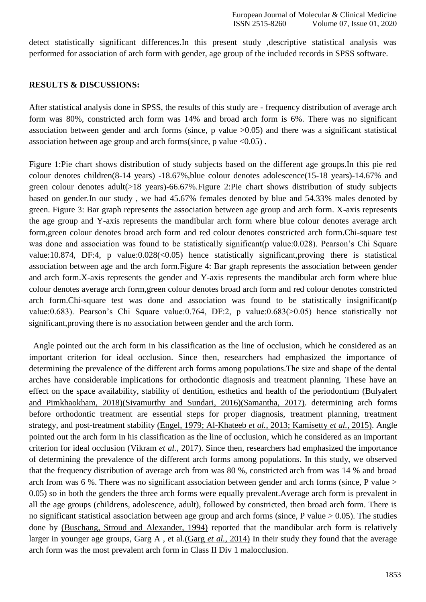detect statistically significant differences.In this present study ,descriptive statistical analysis was performed for association of arch form with gender, age group of the included records in SPSS software.

#### **RESULTS & DISCUSSIONS:**

After statistical analysis done in SPSS, the results of this study are - frequency distribution of average arch form was 80%, constricted arch form was 14% and broad arch form is 6%. There was no significant association between gender and arch forms (since, p value  $>0.05$ ) and there was a significant statistical association between age group and arch forms(since, p value  $\langle 0.05 \rangle$ .

Figure 1:Pie chart shows distribution of study subjects based on the different age groups.In this pie red colour denotes children(8-14 years) -18.67%,blue colour denotes adolescence(15-18 years)-14.67% and green colour denotes adult(>18 years)-66.67%.Figure 2:Pie chart shows distribution of study subjects based on gender.In our study , we had 45.67% females denoted by blue and 54.33% males denoted by green. Figure 3: Bar graph represents the association between age group and arch form. X-axis represents the age group and Y-axis represents the mandibular arch form where blue colour denotes average arch form,green colour denotes broad arch form and red colour denotes constricted arch form.Chi-square test was done and association was found to be statistically significant (p value: 0.028). Pearson's Chi Square value:10.874, DF:4, p value:0.028(<0.05) hence statistically significant,proving there is statistical association between age and the arch form.Figure 4: Bar graph represents the association between gender and arch form.X-axis represents the gender and Y-axis represents the mandibular arch form where blue colour denotes average arch form,green colour denotes broad arch form and red colour denotes constricted arch form.Chi-square test was done and association was found to be statistically insignificant(p value:0.683). Pearson's Chi Square value:0.764, DF:2, p value:0.683(>0.05) hence statistically not significant,proving there is no association between gender and the arch form.

Angle pointed out the arch form in his classification as the line of occlusion, which he considered as an important criterion for ideal occlusion. Since then, researchers had emphasized the importance of determining the prevalence of the different arch forms among populations.The size and shape of the dental arches have considerable implications for orthodontic diagnosis and treatment planning. These have an effect on the space availability, stability of dentition, esthetics and health of the periodontium [\(Bulyalert](https://paperpile.com/c/Gqof0E/tBqs) [and Pimkhaokham, 2018\)\(Sivamurthy and Sundari, 2016\)](https://paperpile.com/c/Gqof0E/tBqs)[\(Samantha, 2017\).](https://paperpile.com/c/Gqof0E/fMP1) determining arch forms before orthodontic treatment are essential steps for proper diagnosis, treatment planning, treatment strategy, and post-treatment stability [\(Engel, 1979; Al-Khateeb](https://paperpile.com/c/Gqof0E/MeeA%2BVWqb%2BzFjv) *et al.*, 2013; Kamisetty *et al.*, 2015). Angle pointed out the arch form in his classification as the line of occlusion, which he considered as an important criterion for ideal occlusion [\(Vikram](https://paperpile.com/c/Gqof0E/Yv8j) *et al.*, 2017). Since then, researchers had emphasized the importance of determining the prevalence of the different arch forms among populations. In this study, we observed that the frequency distribution of average arch from was 80 %, constricted arch from was 14 % and broad arch from was 6 %. There was no significant association between gender and arch forms (since, P value > 0.05) so in both the genders the three arch forms were equally prevalent.Average arch form is prevalent in all the age groups (childrens, adolescence, adult), followed by constricted, then broad arch form. There is no significant statistical association between age group and arch forms (since, P value  $> 0.05$ ). The studies done by [\(Buschang, Stroud and Alexander, 1994\)](https://paperpile.com/c/Gqof0E/QXgv) reported that the mandibular arch form is relatively larger in younger age groups, Garg A , et al.(Garg *et al.*[, 2014\)](https://paperpile.com/c/Gqof0E/L4Jd) In their study they found that the average arch form was the most prevalent arch form in Class II Div 1 malocclusion.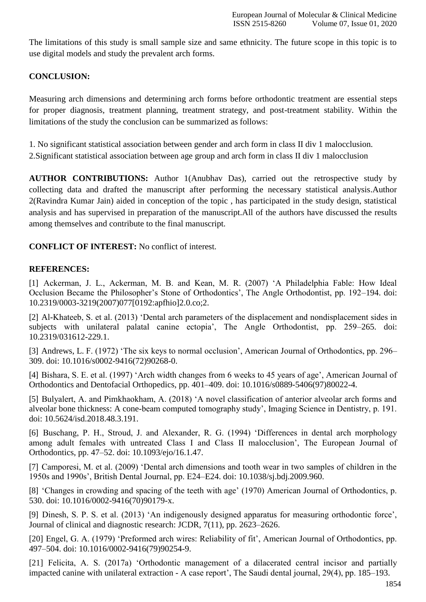The limitations of this study is small sample size and same ethnicity. The future scope in this topic is to use digital models and study the prevalent arch forms.

# **CONCLUSION:**

Measuring arch dimensions and determining arch forms before orthodontic treatment are essential steps for proper diagnosis, treatment planning, treatment strategy, and post-treatment stability. Within the limitations of the study the conclusion can be summarized as follows:

1. No significant statistical association between gender and arch form in class II div 1 malocclusion.

2.Significant statistical association between age group and arch form in class II div 1 malocclusion

**AUTHOR CONTRIBUTIONS:** Author 1(Anubhav Das), carried out the retrospective study by collecting data and drafted the manuscript after performing the necessary statistical analysis.Author 2(Ravindra Kumar Jain) aided in conception of the topic , has participated in the study design, statistical analysis and has supervised in preparation of the manuscript.All of the authors have discussed the results among themselves and contribute to the final manuscript.

**CONFLICT OF INTEREST:** No conflict of interest.

# **REFERENCES:**

[1] [Ackerman, J. L., Ackerman, M. B. and Kean, M. R. \(2007\) 'A Philadelphia Fable: How Ideal](http://paperpile.com/b/Gqof0E/PURb) [Occlusion Became the Philosopher's Stone of Orthodontics', The Angle Orthodontist, pp. 192–194. doi:](http://paperpile.com/b/Gqof0E/PURb) 10.2319/0003-3219(2007)077[0192:apfhio]2.0.co;2.

[2] [Al-Khateeb, S. et al. \(2013\) 'Dental arch parameters of the displacement and nondisplacement sides in](http://paperpile.com/b/Gqof0E/zFjv) [subjects with unilateral palatal canine ectopia', The Angle Orthodontist, pp. 259–265. doi:](http://paperpile.com/b/Gqof0E/zFjv) [10.2319/031612-229.1.](http://dx.doi.org/10.2319/031612-229.1)

[3] [Andrews, L. F. \(1972\) 'The six keys to normal occlusion', American Journal of Orthodontics, pp. 296–](http://paperpile.com/b/Gqof0E/MRjv) [309. doi: 10.1016/s0002-9416\(72\)90268-0.](http://paperpile.com/b/Gqof0E/MRjv)

[4] [Bishara, S. E. et al. \(1997\) 'Arch width changes from 6 weeks to 45 years of age', American Journal of](http://paperpile.com/b/Gqof0E/zNjc) [Orthodontics and Dentofacial Orthopedics, pp. 401–409. doi:](http://paperpile.com/b/Gqof0E/zNjc) [10.1016/s0889-5406\(97\)80022-4.](http://paperpile.com/b/Gqof0E/zNjc)

[5] [Bulyalert, A. and Pimkhaokham, A. \(2018\) 'A novel classification of anterior alveolar arch forms and](http://paperpile.com/b/Gqof0E/tBqs) [alveolar bone thickness: A cone-beam computed tomography study', Imaging Science in Dentistry, p. 191.](http://paperpile.com/b/Gqof0E/tBqs) [doi: 10.5624/isd.2018.48.3.191.](http://paperpile.com/b/Gqof0E/tBqs)

[6] [Buschang, P. H., Stroud, J. and Alexander, R. G. \(1994\) 'Differences in dental arch morphology](http://paperpile.com/b/Gqof0E/QXgv) [among adult females with untreated Class I and Class II malocclusion', The European Journal of](http://paperpile.com/b/Gqof0E/QXgv) [Orthodontics, pp. 47–52. doi: 10.1093/ejo/16.1.47.](http://paperpile.com/b/Gqof0E/QXgv)

[7] [Camporesi, M. et al. \(2009\) 'Dental arch dimensions and tooth wear in two samples of children in the](http://paperpile.com/b/Gqof0E/ajhT) [1950s and 1990s', British Dental Journal, pp. E24–E24. doi:](http://paperpile.com/b/Gqof0E/ajhT) [10.1038/sj.bdj.2009.960](http://paperpile.com/b/Gqof0E/ajhT)[.](http://dx.doi.org/10.1038/sj.bdj.2009.960)

[8] ['Changes in crowding and spacing of the teeth with age' \(1970\) American Journal of Orthodontics, p.](http://paperpile.com/b/Gqof0E/PhIe) [530. doi: 10.1016/0002-9416\(70\)90179-x](http://paperpile.com/b/Gqof0E/PhIe)[.](http://dx.doi.org/10.1016/0002-9416(70)90179-x)

[9] [Dinesh, S. P. S. et al. \(2013\) 'An indigenously designed apparatus for measuring orthodontic force',](http://paperpile.com/b/Gqof0E/szJF) [Journal of clinical and diagnostic research: JCDR, 7\(11\), pp.](http://paperpile.com/b/Gqof0E/szJF) 2623–2626.

[20] [Engel, G. A. \(1979\) 'Preformed arch wires: Reliability of fit', American Journal of Orthodontics, pp.](http://paperpile.com/b/Gqof0E/MeeA) [497–504. doi:](http://paperpile.com/b/Gqof0E/MeeA) [10.1016/0002-9416\(79\)90254-9.](http://paperpile.com/b/Gqof0E/MeeA)

[21] [Felicita, A. S. \(2017a\) 'Orthodontic management of a dilacerated central incisor and partially](http://paperpile.com/b/Gqof0E/KdOF) impacted canine with unilateral extraction - [A case report', The Saudi dental journal, 29\(4\), pp.](http://paperpile.com/b/Gqof0E/KdOF) 185–193.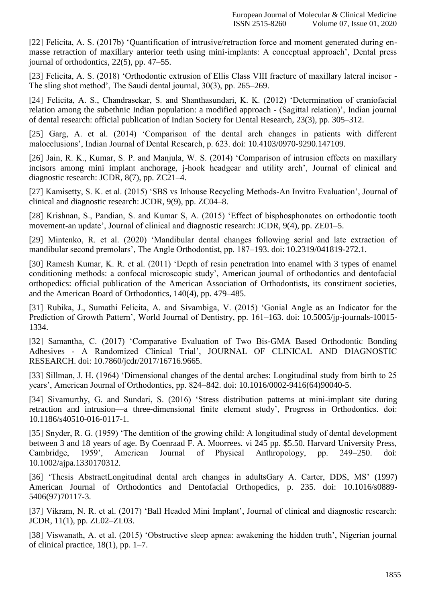[22] [Felicita, A. S. \(2017b\) 'Quantification of intrusive/retraction force and moment generated during en](http://paperpile.com/b/Gqof0E/mapB)[masse retraction of maxillary anterior teeth using mini-implants: A conceptual approach', Dental press](http://paperpile.com/b/Gqof0E/mapB) [journal of orthodontics, 22\(5\), pp.](http://paperpile.com/b/Gqof0E/mapB) 47–55.

[23] [Felicita, A. S. \(2018\) 'Orthodontic extrusion of Ellis Class VIII fracture of maxillary lateral incisor -](http://paperpile.com/b/Gqof0E/kjIA) [The sling shot method', The Saudi dental journal, 30\(3\), pp.](http://paperpile.com/b/Gqof0E/kjIA) 265–269.

[24] [Felicita, A. S., Chandrasekar, S. and Shanthasundari, K. K. \(2012\) 'Determination of craniofacial](http://paperpile.com/b/Gqof0E/lN5i) [relation among the subethnic Indian population: a modified approach -](http://paperpile.com/b/Gqof0E/lN5i) (Sagittal relation)', Indian journa[l](http://paperpile.com/b/Gqof0E/lN5i) [of dental research: official publication of Indian Society for Dental Research, 23\(3\), pp.](http://paperpile.com/b/Gqof0E/lN5i) 305–312.

[25] [Garg, A. et al. \(2014\) 'Comparison of the dental arch changes in patients with different](http://paperpile.com/b/Gqof0E/L4Jd) [malocclusions', Indian Journal of Dental Research, p. 623. doi:](http://paperpile.com/b/Gqof0E/L4Jd) [10.4103/0970-9290.147109.](http://paperpile.com/b/Gqof0E/L4Jd)

[26] [Jain, R. K., Kumar, S. P. and Manjula, W. S. \(2014\) 'Comparison of intrusion effects on maxillary](http://paperpile.com/b/Gqof0E/cv3B) [incisors among mini implant anchorage, j-hook headgear and utility arch', Journal of clinical and](http://paperpile.com/b/Gqof0E/cv3B) [diagnostic research: JCDR, 8\(7\), pp.](http://paperpile.com/b/Gqof0E/cv3B) ZC21–4.

[27] [Kamisetty, S. K. et al. \(2015\) 'SBS vs Inhouse Recycling Methods-An Invitro Evaluation', Journal of](http://paperpile.com/b/Gqof0E/VWqb) [clinical and diagnostic research: JCDR, 9\(9\), pp.](http://paperpile.com/b/Gqof0E/VWqb) ZC04–8.

[28] [Krishnan, S., Pandian, S. and Kumar S, A. \(2015\) 'Effect of bisphosphonates on orthodontic tooth](http://paperpile.com/b/Gqof0E/4duY) [movement-an update', Journal of clinical and diagnostic research: JCDR, 9\(4\), pp.](http://paperpile.com/b/Gqof0E/4duY) ZE01–5.

[29] [Mintenko, R. et al. \(2020\) 'Mandibular dental changes following serial and late extraction of](http://paperpile.com/b/Gqof0E/5h5n) [mandibular second premolars', The Angle Orthodontist, pp. 187–193. doi:](http://paperpile.com/b/Gqof0E/5h5n) [10.2319/041819-272.1.](http://paperpile.com/b/Gqof0E/5h5n)

[30] [Ramesh Kumar, K. R. et al. \(2011\) 'Depth of resin penetration into enamel with 3 types of enamel](http://paperpile.com/b/Gqof0E/g4DW) [conditioning methods: a confocal microscopic study', American journal of orthodontics and dentofacial](http://paperpile.com/b/Gqof0E/g4DW) [orthopedics: official publication of the American Association of Orthodontists, its constituent societies,](http://paperpile.com/b/Gqof0E/g4DW) [and the American Board of Orthodontics, 140\(4\), pp.](http://paperpile.com/b/Gqof0E/g4DW) 479–485.

[31] [Rubika, J., Sumathi Felicita, A. and Sivambiga, V. \(2015\) 'Gonial Angle as an Indicator for the](http://paperpile.com/b/Gqof0E/QqmJ) [Prediction of Growth Pattern', World Journal of Dentistry, pp. 161–163. doi: 10.5005/jp-journals-10015-](http://paperpile.com/b/Gqof0E/QqmJ) [1334](http://dx.doi.org/10.5005/jp-journals-10015-1334)[.](http://paperpile.com/b/Gqof0E/QqmJ)

[32] [Samantha, C. \(2017\) 'Comparative Evaluation of Two Bis-GMA Based Orthodontic Bonding](http://paperpile.com/b/Gqof0E/6f0T) Adhesives - [A Randomized Clinical Trial', JOURNAL OF CLINICAL AND DIAGNOSTIC](http://paperpile.com/b/Gqof0E/6f0T) [RESEARCH. doi: 10.7860/jcdr/2017/16716.9665.](http://paperpile.com/b/Gqof0E/6f0T)

[33] [Sillman, J. H. \(1964\) 'Dimensional changes of the dental arches: Longitudinal study from birth to 25](http://paperpile.com/b/Gqof0E/cVbL) [years', American Journal of Orthodontics, pp. 824–842. doi: 10.1016/0002-9416\(64\)90040-5.](http://paperpile.com/b/Gqof0E/cVbL)

[34] [Sivamurthy, G. and Sundari, S. \(2016\) 'Stress distribution patterns at mini-implant site during](http://paperpile.com/b/Gqof0E/fMP1) [retraction and intrusion—a three-dimensional finite element study', Progress in Orthodontics. doi:](http://paperpile.com/b/Gqof0E/fMP1) [10.1186/s40510-016-0117-1.](http://dx.doi.org/10.1186/s40510-016-0117-1)

[35] [Snyder, R. G. \(1959\) 'The dentition of the growing child: A longitudinal study of dental development](http://paperpile.com/b/Gqof0E/1igC) [between 3 and 18 years of age. By Coenraad F. A. Moorrees. vi 245 pp. \\$5.50. Harvard University Press,](http://paperpile.com/b/Gqof0E/1igC) [Cambridge, 1959', American Journal of Physical Anthropology, pp. 249–250. doi:](http://paperpile.com/b/Gqof0E/1igC) [10.1002/ajpa.1330170312.](http://dx.doi.org/10.1002/ajpa.1330170312)

[36] ['Thesis AbstractLongitudinal dental arch changes in adultsGary A. Carter, DDS, MS' \(1997\)](http://paperpile.com/b/Gqof0E/GxbZ) [American Journal of Orthodontics and Dentofacial Orthopedics, p. 235. doi:](http://paperpile.com/b/Gqof0E/GxbZ) [10.1016/s0889-](http://dx.doi.org/10.1016/s0889-5406(97)70117-3) [5406\(97\)70117-3.](http://dx.doi.org/10.1016/s0889-5406(97)70117-3)

[37] [Vikram, N. R. et al. \(2017\) 'Ball Headed Mini Implant', Journal of clinical and diagnostic research:](http://paperpile.com/b/Gqof0E/Yv8j) [JCDR, 11\(1\), pp.](http://paperpile.com/b/Gqof0E/Yv8j) ZL02–ZL03.

[38] [Viswanath, A. et al. \(2015\) 'Obstructive sleep apnea: awakening the hidden truth', Nigerian journal](http://paperpile.com/b/Gqof0E/yral) [of clinical practice, 18\(1\), pp.](http://paperpile.com/b/Gqof0E/yral) 1–7.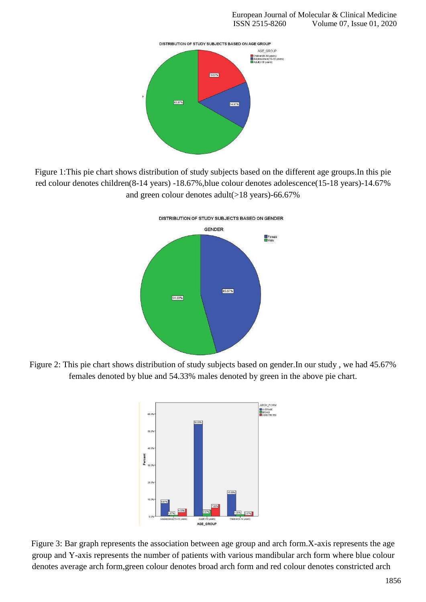

Figure 1:This pie chart shows distribution of study subjects based on the different age groups.In this pie red colour denotes children(8-14 years) -18.67%,blue colour denotes adolescence(15-18 years)-14.67% and green colour denotes adult $(>18$  years)-66.67%



Figure 2: This pie chart shows distribution of study subjects based on gender.In our study , we had 45.67% females denoted by blue and 54.33% males denoted by green in the above pie chart.



Figure 3: Bar graph represents the association between age group and arch form.X-axis represents the age group and Y-axis represents the number of patients with various mandibular arch form where blue colour denotes average arch form,green colour denotes broad arch form and red colour denotes constricted arch